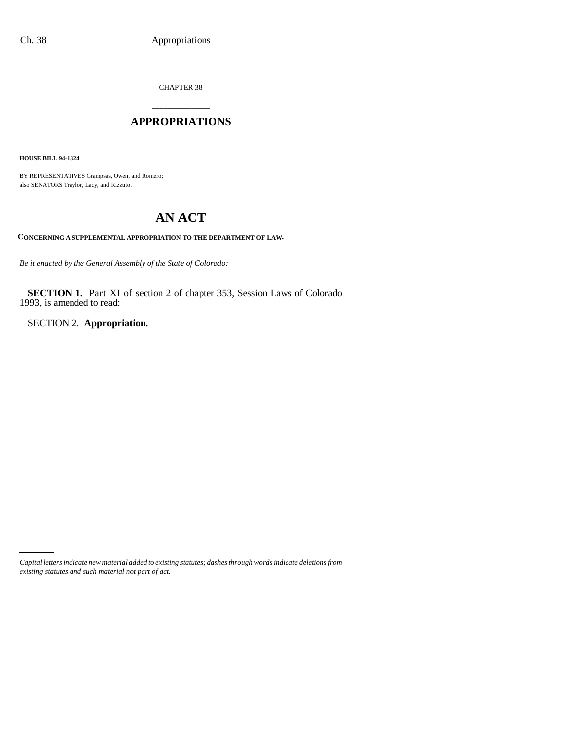CHAPTER 38

### \_\_\_\_\_\_\_\_\_\_\_\_\_\_\_ **APPROPRIATIONS** \_\_\_\_\_\_\_\_\_\_\_\_\_\_\_

**HOUSE BILL 94-1324**

BY REPRESENTATIVES Grampsas, Owen, and Romero; also SENATORS Traylor, Lacy, and Rizzuto.

# **AN ACT**

**CONCERNING A SUPPLEMENTAL APPROPRIATION TO THE DEPARTMENT OF LAW.**

*Be it enacted by the General Assembly of the State of Colorado:*

**SECTION 1.** Part XI of section 2 of chapter 353, Session Laws of Colorado 1993, is amended to read:

SECTION 2. **Appropriation.**

*Capital letters indicate new material added to existing statutes; dashes through words indicate deletions from existing statutes and such material not part of act.*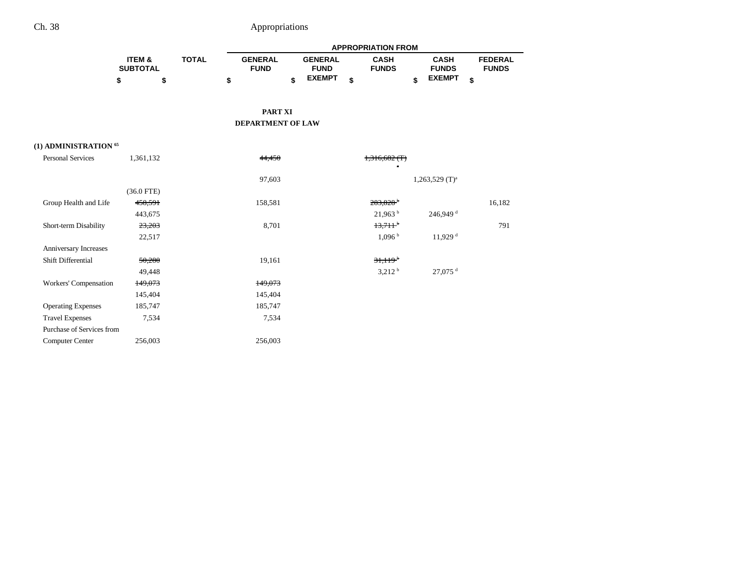|                           |                                      |              | <b>APPROPRIATION FROM</b>     |                               |                             |                              |                                |  |  |  |  |
|---------------------------|--------------------------------------|--------------|-------------------------------|-------------------------------|-----------------------------|------------------------------|--------------------------------|--|--|--|--|
|                           | <b>ITEM &amp;</b><br><b>SUBTOTAL</b> | <b>TOTAL</b> | <b>GENERAL</b><br><b>FUND</b> | <b>GENERAL</b><br><b>FUND</b> | <b>CASH</b><br><b>FUNDS</b> | <b>CASH</b><br><b>FUNDS</b>  | <b>FEDERAL</b><br><b>FUNDS</b> |  |  |  |  |
|                           | \$<br>\$                             |              | \$                            | <b>EXEMPT</b><br>\$           | \$                          | <b>EXEMPT</b><br>\$          | \$                             |  |  |  |  |
|                           |                                      |              | <b>PART XI</b>                |                               |                             |                              |                                |  |  |  |  |
|                           |                                      |              | <b>DEPARTMENT OF LAW</b>      |                               |                             |                              |                                |  |  |  |  |
|                           |                                      |              |                               |                               |                             |                              |                                |  |  |  |  |
| (1) ADMINISTRATION 65     |                                      |              |                               |                               |                             |                              |                                |  |  |  |  |
| <b>Personal Services</b>  | 1,361,132                            |              | 44,450                        |                               | 1,316,682(f)                |                              |                                |  |  |  |  |
|                           |                                      |              |                               |                               | $\mathbf{a}$                |                              |                                |  |  |  |  |
|                           |                                      |              | 97,603                        |                               |                             | $1,263,529$ (T) <sup>a</sup> |                                |  |  |  |  |
|                           | $(36.0$ FTE)<br>458,591              |              | 158,581                       |                               | $283,828$ <sup>b</sup>      |                              | 16,182                         |  |  |  |  |
| Group Health and Life     | 443,675                              |              |                               |                               | $21,963$ <sup>b</sup>       | $246,949$ <sup>d</sup>       |                                |  |  |  |  |
| Short-term Disability     | 23,203                               |              | 8,701                         |                               | $13.711$ <sup>b</sup>       |                              | 791                            |  |  |  |  |
|                           | 22,517                               |              |                               |                               | 1,096h                      | 11,929 <sup>d</sup>          |                                |  |  |  |  |
| Anniversary Increases     |                                      |              |                               |                               |                             |                              |                                |  |  |  |  |
| Shift Differential        | 50,280                               |              | 19,161                        |                               | $31.119^{b}$                |                              |                                |  |  |  |  |
|                           | 49,448                               |              |                               |                               | 3,212 <sup>b</sup>          | $27,075$ <sup>d</sup>        |                                |  |  |  |  |
| Workers' Compensation     | 149,073                              |              | 149,073                       |                               |                             |                              |                                |  |  |  |  |
|                           | 145,404                              |              | 145,404                       |                               |                             |                              |                                |  |  |  |  |
| <b>Operating Expenses</b> | 185,747                              |              | 185,747                       |                               |                             |                              |                                |  |  |  |  |
| <b>Travel Expenses</b>    | 7,534                                |              | 7,534                         |                               |                             |                              |                                |  |  |  |  |
| Purchase of Services from |                                      |              |                               |                               |                             |                              |                                |  |  |  |  |
| Computer Center           | 256,003                              |              | 256,003                       |                               |                             |                              |                                |  |  |  |  |
|                           |                                      |              |                               |                               |                             |                              |                                |  |  |  |  |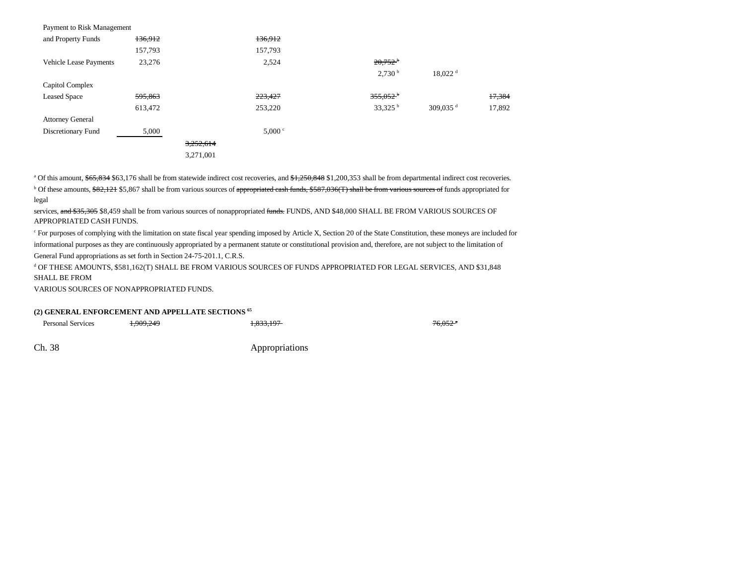| Payment to Risk Management    |         |           |         |                    |                       |        |
|-------------------------------|---------|-----------|---------|--------------------|-----------------------|--------|
| and Property Funds            | 136,912 |           | 136,912 |                    |                       |        |
|                               | 157,793 |           | 157,793 |                    |                       |        |
| <b>Vehicle Lease Payments</b> | 23,276  |           | 2,524   | $20.752^{b}$       |                       |        |
|                               |         |           |         | 2,730 <sup>b</sup> | $18,022$ <sup>d</sup> |        |
| Capitol Complex               |         |           |         |                    |                       |        |
| <b>Leased Space</b>           | 595,863 |           | 223,427 | $355,052^{\circ}$  |                       | 17,384 |
|                               | 613,472 |           | 253,220 | 33,325 $^{\rm b}$  | 309,035 $^d$          | 17,892 |
| <b>Attorney General</b>       |         |           |         |                    |                       |        |
| Discretionary Fund            | 5,000   |           | 5,000 ° |                    |                       |        |
|                               |         | 3,252,614 |         |                    |                       |        |
|                               |         | 3,271,001 |         |                    |                       |        |

<sup>a</sup> Of this amount, \$65,834 \$63,176 shall be from statewide indirect cost recoveries, and \$1,250,848 \$1,200,353 shall be from departmental indirect cost recoveries. <sup>b</sup> Of these amounts, \$82,121 \$5,867 shall be from various sources of <del>appropriated cash funds, \$587,036(T) shall be from various sources of</del> funds appropriated for legal

services, and \$35,305 \$8,459 shall be from various sources of nonappropriated funds. FUNDS, AND \$48,000 SHALL BE FROM VARIOUS SOURCES OF APPROPRIATED CASH FUNDS.

c For purposes of complying with the limitation on state fiscal year spending imposed by Article X, Section 20 of the State Constitution, these moneys are included for informational purposes as they are continuously appropriated by a permanent statute or constitutional provision and, therefore, are not subject to the limitation of General Fund appropriations as set forth in Section 24-75-201.1, C.R.S.

d OF THESE AMOUNTS, \$581,162(T) SHALL BE FROM VARIOUS SOURCES OF FUNDS APPROPRIATED FOR LEGAL SERVICES, AND \$31,848 SHALL BE FROM

VARIOUS SOURCES OF NONAPPROPRIATED FUNDS.

#### **(2) GENERAL ENFORCEMENT AND APPELLATE SECTIONS 65**

Personal Services **1,909,249** 1,833,197 1,833,197 1,833,197 1,833,197 1,6052<sup>a</sup>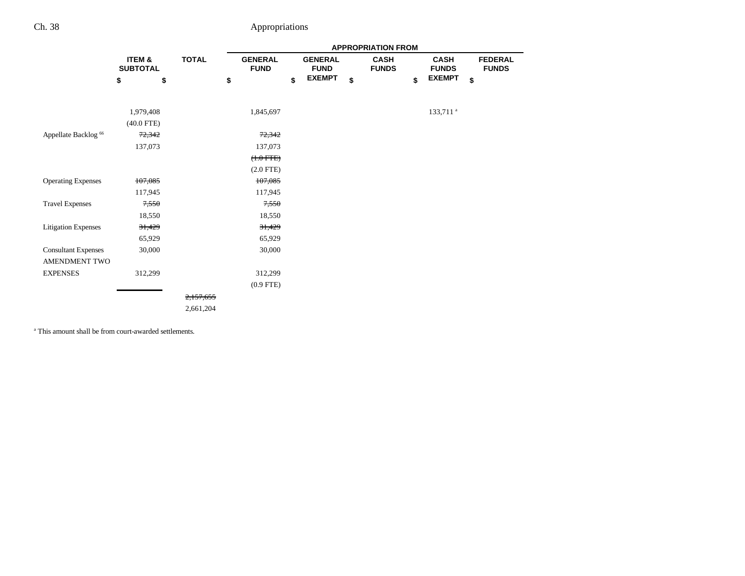|                                 |                           |              | <b>APPROPRIATION FROM</b>     |    |                               |    |                             |    |                             |                                |
|---------------------------------|---------------------------|--------------|-------------------------------|----|-------------------------------|----|-----------------------------|----|-----------------------------|--------------------------------|
|                                 | ITEM &<br><b>SUBTOTAL</b> | <b>TOTAL</b> | <b>GENERAL</b><br><b>FUND</b> |    | <b>GENERAL</b><br><b>FUND</b> |    | <b>CASH</b><br><b>FUNDS</b> |    | <b>CASH</b><br><b>FUNDS</b> | <b>FEDERAL</b><br><b>FUNDS</b> |
|                                 | \$<br>\$                  | \$           |                               | \$ | <b>EXEMPT</b>                 | \$ |                             | \$ | <b>EXEMPT</b>               | \$                             |
|                                 |                           |              |                               |    |                               |    |                             |    |                             |                                |
|                                 | 1,979,408                 |              | 1,845,697                     |    |                               |    |                             |    | 133,711 <sup>a</sup>        |                                |
|                                 | $(40.0$ FTE)              |              |                               |    |                               |    |                             |    |                             |                                |
| Appellate Backlog <sup>66</sup> | 72,342                    |              | 72,342                        |    |                               |    |                             |    |                             |                                |
|                                 | 137,073                   |              | 137,073                       |    |                               |    |                             |    |                             |                                |
|                                 |                           |              | $(+.0$ FTE $)$                |    |                               |    |                             |    |                             |                                |
|                                 |                           |              | $(2.0$ FTE)                   |    |                               |    |                             |    |                             |                                |
| <b>Operating Expenses</b>       | 107,085                   |              | 107,085                       |    |                               |    |                             |    |                             |                                |
|                                 | 117,945                   |              | 117,945                       |    |                               |    |                             |    |                             |                                |
| <b>Travel Expenses</b>          | 7,550                     |              | 7,550                         |    |                               |    |                             |    |                             |                                |
|                                 | 18,550                    |              | 18,550                        |    |                               |    |                             |    |                             |                                |
| <b>Litigation Expenses</b>      | 31,429                    |              | 31,429                        |    |                               |    |                             |    |                             |                                |
|                                 | 65,929                    |              | 65,929                        |    |                               |    |                             |    |                             |                                |
| <b>Consultant Expenses</b>      | 30,000                    |              | 30,000                        |    |                               |    |                             |    |                             |                                |
| AMENDMENT TWO                   |                           |              |                               |    |                               |    |                             |    |                             |                                |
| <b>EXPENSES</b>                 | 312,299                   |              | 312,299                       |    |                               |    |                             |    |                             |                                |
|                                 |                           |              | $(0.9$ FTE)                   |    |                               |    |                             |    |                             |                                |
|                                 |                           | 2,157,655    |                               |    |                               |    |                             |    |                             |                                |
|                                 |                           | 2,661,204    |                               |    |                               |    |                             |    |                             |                                |
|                                 |                           |              |                               |    |                               |    |                             |    |                             |                                |

a This amount shall be from court-awarded settlements.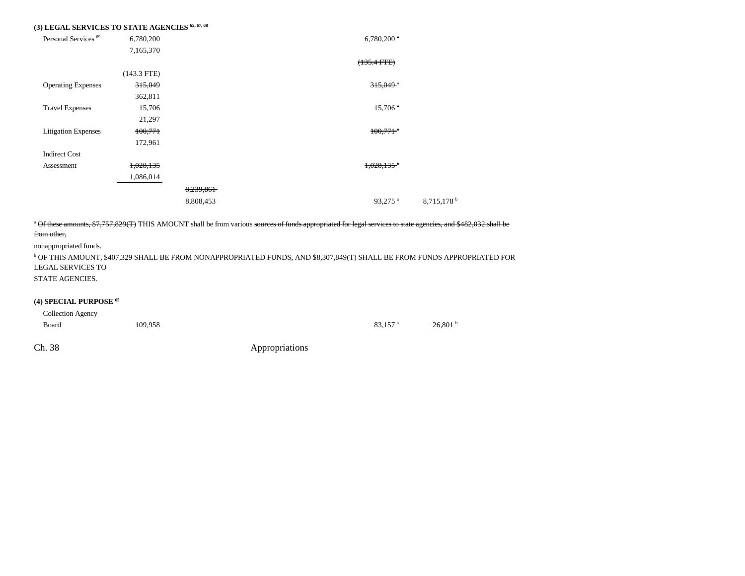### **(3) LEGAL SERVICES TO STATE AGENCIES 65, 67, 68**

| Personal Services <sup>69</sup> | 6,780,200     |           | $6,780,200$ <sup>a</sup> |             |
|---------------------------------|---------------|-----------|--------------------------|-------------|
|                                 | 7,165,370     |           |                          |             |
|                                 |               |           | $(135.4 FTE)$            |             |
|                                 | $(143.3$ FTE) |           |                          |             |
| <b>Operating Expenses</b>       | 315,049       |           | $315,049$ <sup>a</sup>   |             |
|                                 | 362,811       |           |                          |             |
| <b>Travel Expenses</b>          | 15,706        |           | $15,706$ <sup>*</sup>    |             |
|                                 | 21,297        |           |                          |             |
| <b>Litigation Expenses</b>      | 100,771       |           | $100,771$ <sup>a</sup>   |             |
|                                 | 172,961       |           |                          |             |
| <b>Indirect Cost</b>            |               |           |                          |             |
| Assessment                      | 1,028,135     |           | $1,028,135$ <sup>a</sup> |             |
|                                 | 1,086,014     |           |                          |             |
|                                 |               | 8,239,861 |                          |             |
|                                 |               | 8,808,453 | $93,275$ <sup>a</sup>    | 8,715,178 b |

<sup>a</sup> Of these amounts, \$7,757,829(T) THIS AMOUNT shall be from various sources of funds appropriated for legal services to state agencies, and \$482,032 shall be

#### from other,

nonappropriated funds.

b OF THIS AMOUNT, \$407,329 SHALL BE FROM NONAPPROPRIATED FUNDS, AND \$8,307,849(T) SHALL BE FROM FUNDS APPROPRIATED FOR LEGAL SERVICES TO

STATE AGENCIES.

#### **(4) SPECIAL PURPOSE 65**

| Collection Agency |         |                     |                       |
|-------------------|---------|---------------------|-----------------------|
| Board             | 109,958 | 83,157 <sup>a</sup> | $26,801$ <sup>+</sup> |
|                   |         |                     |                       |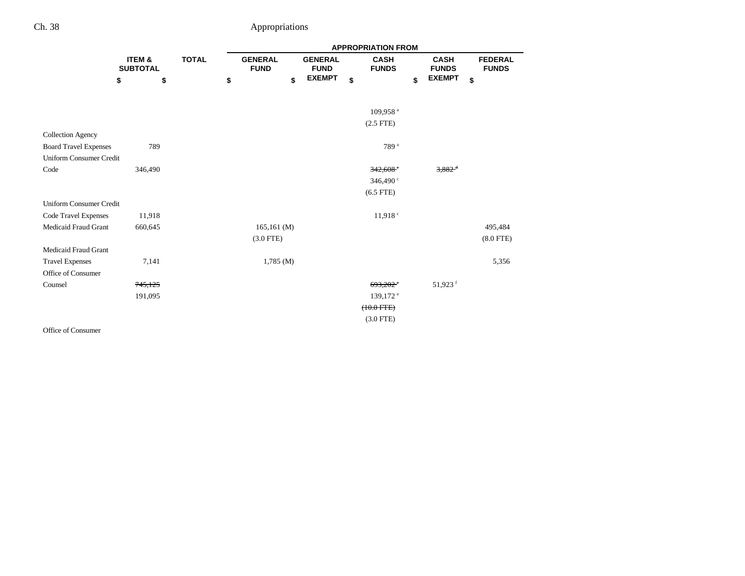|                                |                           |              |    | <b>APPROPRIATION FROM</b>     |                               |    |                             |    |                             |    |                                |  |
|--------------------------------|---------------------------|--------------|----|-------------------------------|-------------------------------|----|-----------------------------|----|-----------------------------|----|--------------------------------|--|
|                                | ITEM &<br><b>SUBTOTAL</b> | <b>TOTAL</b> |    | <b>GENERAL</b><br><b>FUND</b> | <b>GENERAL</b><br><b>FUND</b> |    | <b>CASH</b><br><b>FUNDS</b> |    | <b>CASH</b><br><b>FUNDS</b> |    | <b>FEDERAL</b><br><b>FUNDS</b> |  |
|                                | \$<br>\$                  |              | \$ | \$                            | <b>EXEMPT</b>                 | \$ |                             | \$ | <b>EXEMPT</b>               | \$ |                                |  |
|                                |                           |              |    |                               |                               |    | 109,958 <sup>a</sup>        |    |                             |    |                                |  |
|                                |                           |              |    |                               |                               |    | $(2.5$ FTE $)$              |    |                             |    |                                |  |
| <b>Collection Agency</b>       |                           |              |    |                               |                               |    |                             |    |                             |    |                                |  |
| <b>Board Travel Expenses</b>   | 789                       |              |    |                               |                               |    | 789 <sup>a</sup>            |    |                             |    |                                |  |
| <b>Uniform Consumer Credit</b> |                           |              |    |                               |                               |    |                             |    |                             |    |                                |  |
| Code                           | 346,490                   |              |    |                               |                               |    | 342,608                     |    | $3,882$ <sup>d</sup>        |    |                                |  |
|                                |                           |              |    |                               |                               |    | 346,490 °                   |    |                             |    |                                |  |
|                                |                           |              |    |                               |                               |    | $(6.5$ FTE)                 |    |                             |    |                                |  |
| <b>Uniform Consumer Credit</b> |                           |              |    |                               |                               |    |                             |    |                             |    |                                |  |
| Code Travel Expenses           | 11,918                    |              |    |                               |                               |    | 11,918°                     |    |                             |    |                                |  |
| <b>Medicaid Fraud Grant</b>    | 660,645                   |              |    | 165,161(M)                    |                               |    |                             |    |                             |    | 495,484                        |  |
|                                |                           |              |    | $(3.0$ FTE)                   |                               |    |                             |    |                             |    | $(8.0$ FTE)                    |  |
| Medicaid Fraud Grant           |                           |              |    |                               |                               |    |                             |    |                             |    |                                |  |
| <b>Travel Expenses</b>         | 7,141                     |              |    | 1,785(M)                      |                               |    |                             |    |                             |    | 5,356                          |  |
| Office of Consumer             |                           |              |    |                               |                               |    |                             |    |                             |    |                                |  |
| Counsel                        | 745,125                   |              |    |                               |                               |    | $693.202$ <sup>*</sup>      |    | 51,923 <sup>f</sup>         |    |                                |  |
|                                | 191,095                   |              |    |                               |                               |    | 139,172 <sup>e</sup>        |    |                             |    |                                |  |
|                                |                           |              |    |                               |                               |    | $(10.0 \text{ FFE})$        |    |                             |    |                                |  |
|                                |                           |              |    |                               |                               |    | $(3.0$ FTE)                 |    |                             |    |                                |  |
| Office of Consumer             |                           |              |    |                               |                               |    |                             |    |                             |    |                                |  |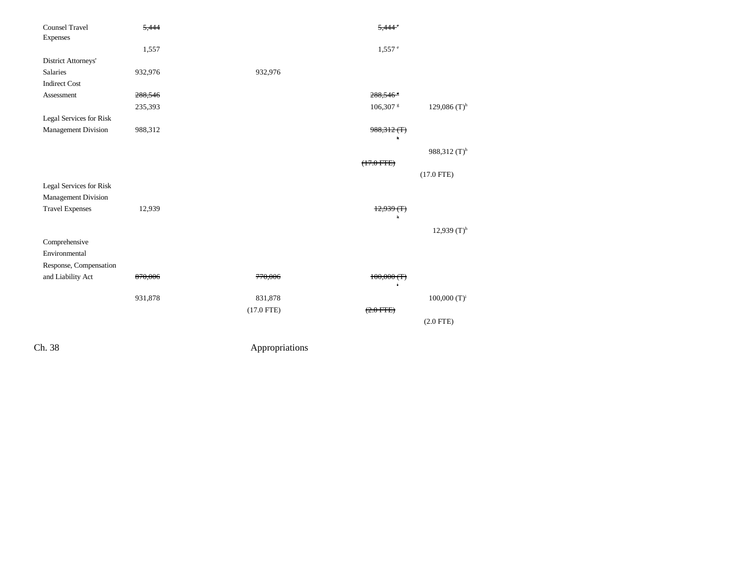| 5,444   |              | 5.44                     |                 |
|---------|--------------|--------------------------|-----------------|
|         |              |                          |                 |
| 1,557   |              | $1,557$ <sup>e</sup>     |                 |
|         |              |                          |                 |
| 932,976 | 932,976      |                          |                 |
|         |              |                          |                 |
| 288,546 |              | 288,546 \$               |                 |
| 235,393 |              | 106,307 \$               | 129,086 $(T)^h$ |
|         |              |                          |                 |
| 988,312 |              | $988,312$ (T)            |                 |
|         |              | h                        |                 |
|         |              |                          | 988,312 $(T)^h$ |
|         |              | $(17.0$ FTE $)$          |                 |
|         |              |                          | $(17.0$ FTE)    |
|         |              |                          |                 |
|         |              |                          |                 |
| 12,939  |              | (T)<br><del>12.939</del> |                 |
|         |              | h                        |                 |
|         |              |                          | 12,939 $(T)^h$  |
|         |              |                          |                 |
|         |              |                          |                 |
|         |              |                          |                 |
| 870,006 | 770,006      | $100,000$ (T)            |                 |
|         |              | ł                        |                 |
| 931,878 | 831,878      |                          | 100,000 $(T)^i$ |
|         | $(17.0$ FTE) | (2.0 FFE)                |                 |
|         |              |                          | $(2.0$ FTE)     |
|         |              |                          |                 |
|         |              |                          |                 |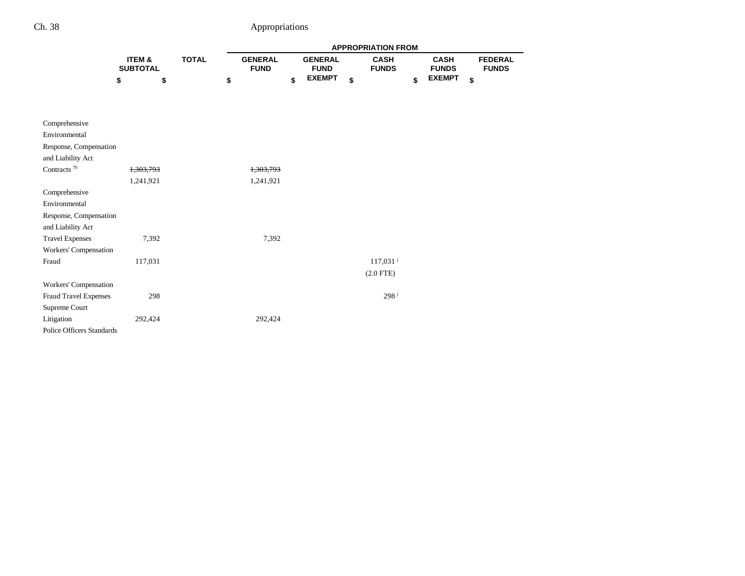|                                  |                           |              | <b>APPROPRIATION FROM</b> |                               |                               |               |    |                             |    |                             |    |                                |
|----------------------------------|---------------------------|--------------|---------------------------|-------------------------------|-------------------------------|---------------|----|-----------------------------|----|-----------------------------|----|--------------------------------|
|                                  | ITEM &<br><b>SUBTOTAL</b> | <b>TOTAL</b> |                           | <b>GENERAL</b><br><b>FUND</b> | <b>GENERAL</b><br><b>FUND</b> |               |    | <b>CASH</b><br><b>FUNDS</b> |    | <b>CASH</b><br><b>FUNDS</b> |    | <b>FEDERAL</b><br><b>FUNDS</b> |
|                                  | \$<br>\$                  |              | \$                        |                               | \$                            | <b>EXEMPT</b> | \$ |                             | \$ | <b>EXEMPT</b>               | \$ |                                |
| Comprehensive                    |                           |              |                           |                               |                               |               |    |                             |    |                             |    |                                |
| Environmental                    |                           |              |                           |                               |                               |               |    |                             |    |                             |    |                                |
| Response, Compensation           |                           |              |                           |                               |                               |               |    |                             |    |                             |    |                                |
| and Liability Act                |                           |              |                           |                               |                               |               |    |                             |    |                             |    |                                |
| Contracts $^{70}$                | 1,303,793                 |              |                           | 1,303,793                     |                               |               |    |                             |    |                             |    |                                |
|                                  | 1,241,921                 |              |                           | 1,241,921                     |                               |               |    |                             |    |                             |    |                                |
| Comprehensive                    |                           |              |                           |                               |                               |               |    |                             |    |                             |    |                                |
| Environmental                    |                           |              |                           |                               |                               |               |    |                             |    |                             |    |                                |
| Response, Compensation           |                           |              |                           |                               |                               |               |    |                             |    |                             |    |                                |
| and Liability Act                |                           |              |                           |                               |                               |               |    |                             |    |                             |    |                                |
| <b>Travel Expenses</b>           | 7,392                     |              |                           | 7,392                         |                               |               |    |                             |    |                             |    |                                |
| Workers' Compensation            |                           |              |                           |                               |                               |               |    |                             |    |                             |    |                                |
| Fraud                            | 117,031                   |              |                           |                               |                               |               |    | $117,031$ <sup>j</sup>      |    |                             |    |                                |
|                                  |                           |              |                           |                               |                               |               |    | $(2.0$ FTE)                 |    |                             |    |                                |
| Workers' Compensation            |                           |              |                           |                               |                               |               |    |                             |    |                             |    |                                |
| Fraud Travel Expenses            | 298                       |              |                           |                               |                               |               |    | 298 <sup>j</sup>            |    |                             |    |                                |
| Supreme Court                    |                           |              |                           |                               |                               |               |    |                             |    |                             |    |                                |
| Litigation                       | 292,424                   |              |                           | 292,424                       |                               |               |    |                             |    |                             |    |                                |
| <b>Police Officers Standards</b> |                           |              |                           |                               |                               |               |    |                             |    |                             |    |                                |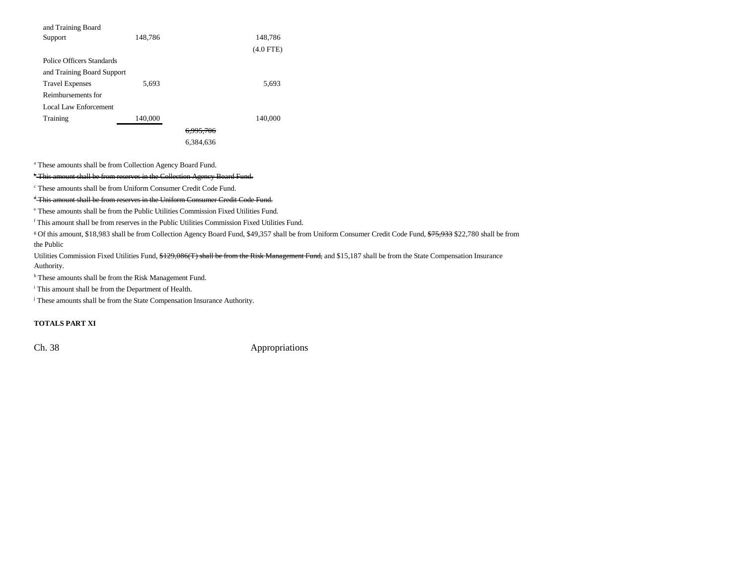| and Training Board         |         |           |             |
|----------------------------|---------|-----------|-------------|
| Support                    | 148,786 |           | 148,786     |
|                            |         |           | $(4.0$ FTE) |
| Police Officers Standards  |         |           |             |
| and Training Board Support |         |           |             |
| <b>Travel Expenses</b>     | 5,693   |           | 5,693       |
| Reimbursements for         |         |           |             |
| Local Law Enforcement      |         |           |             |
| Training                   | 140,000 |           | 140,000     |
|                            |         | 6,995,706 |             |
|                            |         | 6.384.636 |             |
|                            |         |           |             |

a These amounts shall be from Collection Agency Board Fund.

<sup>b</sup> This amount shall be from reserves in the Collection Agency Board Fund.

c These amounts shall be from Uniform Consumer Credit Code Fund.

<sup>d</sup> This amount shall be from reserves in the Uniform Consumer Credit Code Fund.

e These amounts shall be from the Public Utilities Commission Fixed Utilities Fund.

f This amount shall be from reserves in the Public Utilities Commission Fixed Utilities Fund.

<sup>g</sup> Of this amount, \$18,983 shall be from Collection Agency Board Fund, \$49,357 shall be from Uniform Consumer Credit Code Fund, <del>\$75,933</del> \$22,780 shall be from the Public

Utilities Commission Fixed Utilities Fund, \$129,086(T) shall be from the Risk Management Fund, and \$15,187 shall be from the State Compensation Insurance Authority.

h These amounts shall be from the Risk Management Fund.

i This amount shall be from the Department of Health.

<sup>j</sup> These amounts shall be from the State Compensation Insurance Authority.

### **TOTALS PART XI**